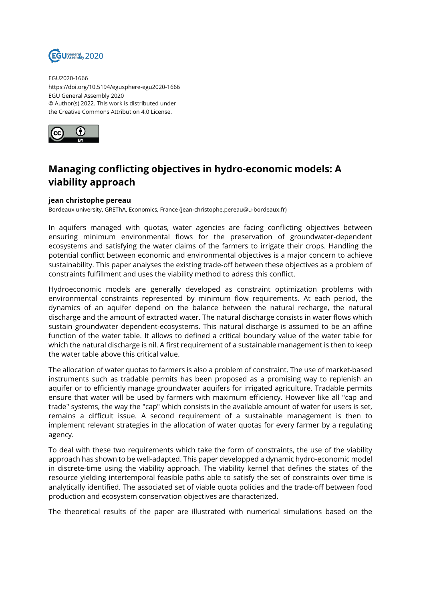

EGU2020-1666 https://doi.org/10.5194/egusphere-egu2020-1666 EGU General Assembly 2020 © Author(s) 2022. This work is distributed under the Creative Commons Attribution 4.0 License.



## **Managing conflicting objectives in hydro-economic models: A viability approach**

## **jean christophe pereau**

Bordeaux university, GREThA, Economics, France (jean-christophe.pereau@u-bordeaux.fr)

In aquifers managed with quotas, water agencies are facing conflicting objectives between ensuring minimum environmental flows for the preservation of groundwater-dependent ecosystems and satisfying the water claims of the farmers to irrigate their crops. Handling the potential conflict between economic and environmental objectives is a major concern to achieve sustainability. This paper analyses the existing trade-off between these objectives as a problem of constraints fulfillment and uses the viability method to adress this conflict.

Hydroeconomic models are generally developed as constraint optimization problems with environmental constraints represented by minimum flow requirements. At each period, the dynamics of an aquifer depend on the balance between the natural recharge, the natural discharge and the amount of extracted water. The natural discharge consists in water flows which sustain groundwater dependent-ecosystems. This natural discharge is assumed to be an affine function of the water table. It allows to defined a critical boundary value of the water table for which the natural discharge is nil. A first requirement of a sustainable management is then to keep the water table above this critical value.

The allocation of water quotas to farmers is also a problem of constraint. The use of market-based instruments such as tradable permits has been proposed as a promising way to replenish an aquifer or to efficiently manage groundwater aquifers for irrigated agriculture. Tradable permits ensure that water will be used by farmers with maximum efficiency. However like all "cap and trade" systems, the way the "cap" which consists in the available amount of water for users is set, remains a difficult issue. A second requirement of a sustainable management is then to implement relevant strategies in the allocation of water quotas for every farmer by a regulating agency.

To deal with these two requirements which take the form of constraints, the use of the viability approach has shown to be well-adapted. This paper developped a dynamic hydro-economic model in discrete-time using the viability approach. The viability kernel that defines the states of the resource yielding intertemporal feasible paths able to satisfy the set of constraints over time is analytically identified. The associated set of viable quota policies and the trade-off between food production and ecosystem conservation objectives are characterized.

The theoretical results of the paper are illustrated with numerical simulations based on the